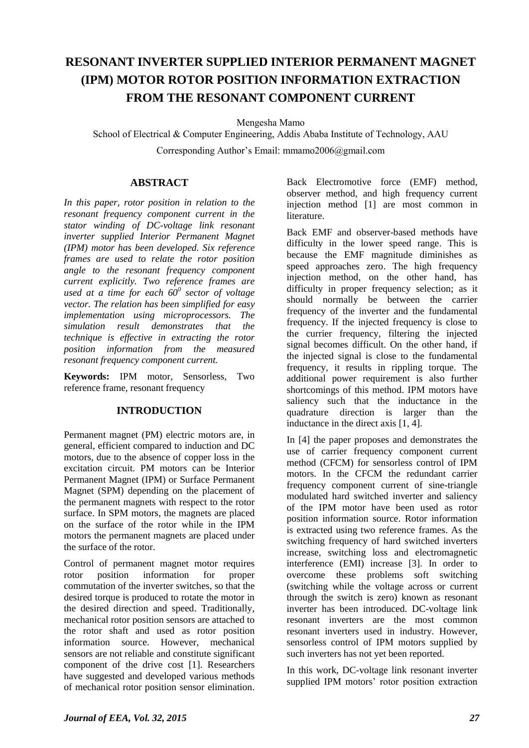# **RESONANT INVERTER SUPPLIED INTERIOR PERMANENT MAGNET (IPM) MOTOR ROTOR POSITION INFORMATION EXTRACTION FROM THE RESONANT COMPONENT CURRENT**

Mengesha Mamo

School of Electrical & Computer Engineering, Addis Ababa Institute of Technology, AAU

Corresponding Author's Email: mmamo2006@gmail.com

# **ABSTRACT**

*In this paper, rotor position in relation to the resonant frequency component current in the stator winding of DC-voltage link resonant inverter supplied Interior Permanent Magnet (IPM) motor has been developed. Six reference frames are used to relate the rotor position angle to the resonant frequency component current explicitly. Two reference frames are used at a time for each 60<sup>0</sup> sector of voltage vector. The relation has been simplified for easy implementation using microprocessors. The simulation result demonstrates that the technique is effective in extracting the rotor position information from the measured resonant frequency component current.*

**Keywords:** IPM motor, Sensorless, Two reference frame, resonant frequency

# **INTRODUCTION**

Permanent magnet (PM) electric motors are, in general, efficient compared to induction and DC motors, due to the absence of copper loss in the excitation circuit. PM motors can be Interior Permanent Magnet (IPM) or Surface Permanent Magnet (SPM) depending on the placement of the permanent magnets with respect to the rotor surface. In SPM motors, the magnets are placed on the surface of the rotor while in the IPM motors the permanent magnets are placed under the surface of the rotor.

Control of permanent magnet motor requires rotor position information for proper commutation of the inverter switches, so that the desired torque is produced to rotate the motor in the desired direction and speed. Traditionally, mechanical rotor position sensors are attached to the rotor shaft and used as rotor position information source. However, mechanical sensors are not reliable and constitute significant component of the drive cost [1]. Researchers have suggested and developed various methods of mechanical rotor position sensor elimination.

Back Electromotive force (EMF) method, observer method, and high frequency current injection method [1] are most common in literature.

Back EMF and observer-based methods have difficulty in the lower speed range. This is because the EMF magnitude diminishes as speed approaches zero. The high frequency injection method, on the other hand, has difficulty in proper frequency selection; as it should normally be between the carrier frequency of the inverter and the fundamental frequency. If the injected frequency is close to the currier frequency, filtering the injected signal becomes difficult. On the other hand, if the injected signal is close to the fundamental frequency, it results in rippling torque. The additional power requirement is also further shortcomings of this method. IPM motors have saliency such that the inductance in the quadrature direction is larger than the inductance in the direct axis [1, 4].

In [4] the paper proposes and demonstrates the use of carrier frequency component current method (CFCM) for sensorless control of IPM motors. In the CFCM the redundant carrier frequency component current of sine-triangle modulated hard switched inverter and saliency of the IPM motor have been used as rotor position information source. Rotor information is extracted using two reference frames. As the switching frequency of hard switched inverters increase, switching loss and electromagnetic interference (EMI) increase [3]. In order to overcome these problems soft switching (switching while the voltage across or current through the switch is zero) known as resonant inverter has been introduced. DC-voltage link resonant inverters are the most common resonant inverters used in industry. However, sensorless control of IPM motors supplied by such inverters has not yet been reported.

In this work, DC-voltage link resonant inverter supplied IPM motors' rotor position extraction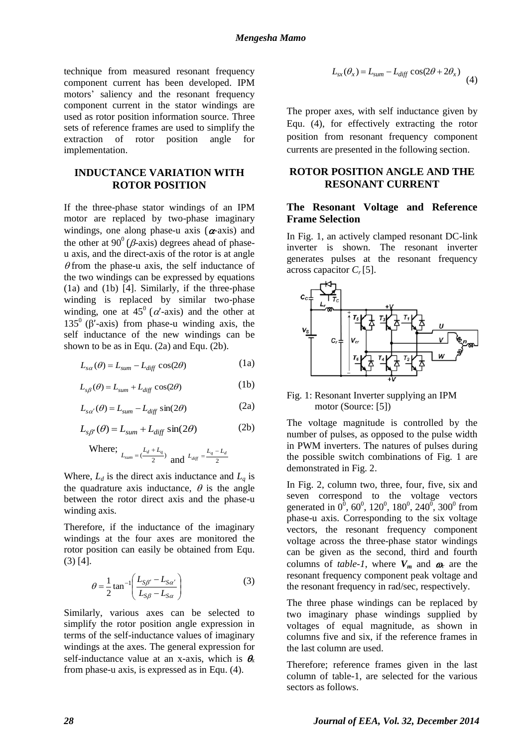technique from measured resonant frequency component current has been developed. IPM motors' saliency and the resonant frequency component current in the stator windings are used as rotor position information source. Three sets of reference frames are used to simplify the extraction of rotor position angle for implementation.

### **INDUCTANCE VARIATION WITH ROTOR POSITION**

If the three-phase stator windings of an IPM motor are replaced by two-phase imaginary windings, one along phase-u axis  $(\alpha$ -axis) and the other at  $90^{\circ}$  ( $\beta$ -axis) degrees ahead of phaseu axis, and the direct-axis of the rotor is at angle  $\theta$  from the phase-u axis, the self inductance of the two windings can be expressed by equations (1a) and (1b) [4]. Similarly, if the three-phase winding is replaced by similar two-phase winding, one at  $45^{\circ}$  ( $\alpha'$ -axis) and the other at 135<sup>0</sup> ( $\beta'$ -axis) from phase-u winding axis, the self inductance of the new windings can be shown to be as in Equ. (2a) and Equ. (2b).

$$
L_{s\alpha}(\theta) = L_{sum} - L_{diff} \cos(2\theta)
$$
 (1a)

$$
L_{s\beta}(\theta) = L_{sum} + L_{diff} \cos(2\theta)
$$
 (1b)

$$
L_{s\alpha'}(\theta) = L_{sum} - L_{diff} \sin(2\theta)
$$
 (2a)

$$
L_{s\beta'}(\theta) = L_{sum} + L_{diff} \sin(2\theta)
$$
 (2b)

Where; 
$$
L_{sum} = (\frac{L_d + L_q}{2})
$$
 and  $L_{diff} = \frac{L_q - L_d}{2}$ 

Where,  $L_d$  is the direct axis inductance and  $L_q$  is the quadrature axis inductance,  $\theta$  is the angle between the rotor direct axis and the phase-u winding axis.

Therefore, if the inductance of the imaginary windings at the four axes are monitored the rotor position can easily be obtained from Equ. (3) [4].

$$
\theta = \frac{1}{2} \tan^{-1} \left( \frac{L_{S\beta'} - L_{S\alpha'}}{L_{S\beta} - L_{S\alpha}} \right)
$$
 (3)

Similarly, various axes can be selected to simplify the rotor position angle expression in terms of the self-inductance values of imaginary windings at the axes. The general expression for self-inductance value at an x-axis, which is  $\theta_{x}$ from phase-u axis, is expressed as in Equ. (4).

$$
L_{sx}(\theta_x) = L_{sum} - L_{diff} \cos(2\theta + 2\theta_x)
$$
 (4)

The proper axes, with self inductance given by Equ. (4), for effectively extracting the rotor position from resonant frequency component currents are presented in the following section.

## **ROTOR POSITION ANGLE AND THE RESONANT CURRENT**

#### **The Resonant Voltage and Reference Frame Selection**

In Fig. 1, an actively clamped resonant DC-link inverter is shown. The resonant inverter generates pulses at the resonant frequency across capacitor *C<sup>r</sup>* [5].



#### Fig. 1: Resonant Inverter supplying an IPM motor (Source: [5])

The voltage magnitude is controlled by the number of pulses, as opposed to the pulse width in PWM inverters. The natures of pulses during the possible switch combinations of Fig. 1 are demonstrated in Fig. 2.

In Fig. 2, column two, three, four, five, six and seven correspond to the voltage vectors generated in  $0^0$ ,  $60^0$ ,  $120^0$ ,  $180^0$ ,  $240^0$ ,  $300^0$  from phase-u axis. Corresponding to the six voltage vectors, the resonant frequency component voltage across the three-phase stator windings can be given as the second, third and fourth columns of *table-1*, where  $V_m$  and  $\omega_r$  are the resonant frequency component peak voltage and the resonant frequency in rad/sec, respectively.

The three phase windings can be replaced by two imaginary phase windings supplied by voltages of equal magnitude, as shown in columns five and six, if the reference frames in the last column are used.

Therefore; reference frames given in the last column of table-1, are selected for the various sectors as follows.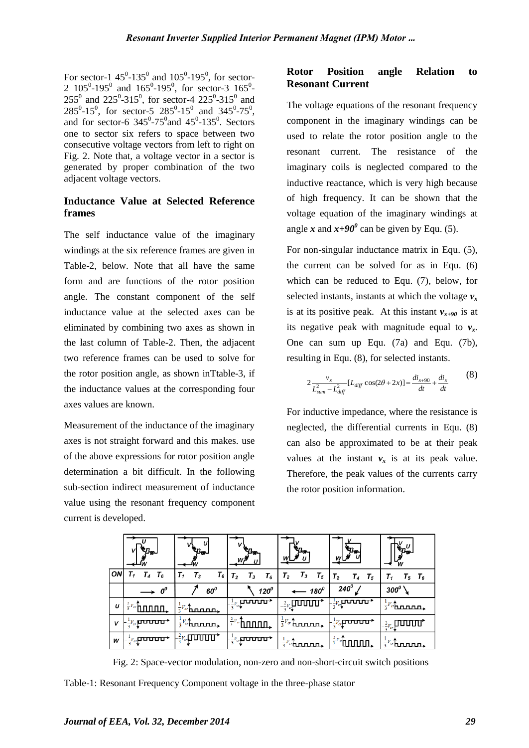For sector-1  $45^{\circ}$ -135<sup>°</sup> and  $105^{\circ}$ -195<sup>°</sup>, for sector-2 105<sup>0</sup>-195<sup>0</sup> and 165<sup>0</sup>-195<sup>0</sup>, for sector-3 165<sup>0</sup>- $255^{\circ}$  and  $225^{\circ}$ -315<sup>°</sup>, for sector-4  $225^{\circ}$ -315<sup>°</sup> and  $285^0$ -15<sup>0</sup>, for sector-5  $285^0$ -15<sup>0</sup> and  $345^0$ -75<sup>0</sup>, and for sector-6  $345^{\circ}$ -75 $^{\circ}$ and  $45^{\circ}$ -135 $^{\circ}$ . Sectors one to sector six refers to space between two consecutive voltage vectors from left to right on Fig. 2. Note that, a voltage vector in a sector is generated by proper combination of the two adjacent voltage vectors.

# **Inductance Value at Selected Reference frames**

The self inductance value of the imaginary windings at the six reference frames are given in Table-2, below. Note that all have the same form and are functions of the rotor position angle. The constant component of the self inductance value at the selected axes can be eliminated by combining two axes as shown in the last column of Table-2. Then, the adjacent two reference frames can be used to solve for the rotor position angle, as shown inTtable-3, if the inductance values at the corresponding four axes values are known.

Measurement of the inductance of the imaginary axes is not straight forward and this makes. use of the above expressions for rotor position angle determination a bit difficult. In the following sub-section indirect measurement of inductance value using the resonant frequency component current is developed.

# **Rotor Position angle Relation to Resonant Current**

The voltage equations of the resonant frequency component in the imaginary windings can be used to relate the rotor position angle to the resonant current. The resistance of the imaginary coils is neglected compared to the inductive reactance, which is very high because of high frequency. It can be shown that the voltage equation of the imaginary windings at angle x and  $x+90^\circ$  can be given by Equ. (5).

For non-singular inductance matrix in Equ. (5), the current can be solved for as in Equ. (6) which can be reduced to Equ. (7), below, for selected instants, instants at which the voltage  $v_x$ is at its positive peak. At this instant  $v_{x+90}$  is at its negative peak with magnitude equal to  $v<sub>x</sub>$ . One can sum up Equ. (7a) and Equ. (7b), resulting in Equ. (8), for selected instants.

$$
2\frac{v_x}{L_{sum}^2 - L_{diff}^2} [L_{diff} \cos(2\theta + 2x)] = \frac{di_{x+90}}{dt} + \frac{di_x}{dt}
$$
 (8)

For inductive impedance, where the resistance is neglected, the differential currents in Equ. (8) can also be approximated to be at their peak values at the instant  $v_x$  is at its peak value. Therefore, the peak values of the currents carry the rotor position information.

|    | $e_{\mu_{\infty}}$                        |                         | ₹n.                              |                              |                               | w                    |
|----|-------------------------------------------|-------------------------|----------------------------------|------------------------------|-------------------------------|----------------------|
| ON | т,<br>$T_4$<br>$T_6$                      | $T_6$<br>$T_1$<br>$T_3$ | T <sub>2</sub><br>$T_3$<br>$T_6$ | $T_3$<br>$T_5$<br>$T_{2}$    | T <sub>2</sub><br>$T_4$ $T_5$ | $T_5$ $T_6$<br>Τ,    |
|    | $60^0$<br>$o^o$                           |                         | $120^0$                          | $- 180^0$                    | $240^\circ$                   | $300^0$              |
| U  | $\frac{2}{3}V_{cr}$                       | $\frac{1}{3}V_c$ hnnnn, | ᠊ᡂᡂ<br>$-\frac{1}{3}V_{cr}$      | שטשי<br>$-\frac{2}{3}V_{c}$  | $L_{\frac{1}{3}V_{cr}}$       | $rac{1}{3}V_c$       |
| v  | $\mathcal{L}_{\frac{1}{3}V_{cr}}$ propins | $rac{1}{3}V_c$ tunned,  | $\frac{2}{3}v_o$ <b>funni</b>    | $rac{1}{3}V_{\alpha}$ homen. | ᠊ᡆᢣ<br>$-\frac{1}{3}V_{cr}$   | $-\frac{2}{3}V_{cr}$ |
| w  | $1-\frac{1}{3}V_{cr}$                     | $-\frac{2}{3}V_{cr}$    | $-\frac{1}{3}V_{cr}$             | $rac{1}{3}V_{cr}$            | $rac{2}{3}V_{cr}$             |                      |

Fig. 2: Space-vector modulation, non-zero and non-short-circuit switch positions

Table-1: Resonant Frequency Component voltage in the three-phase stator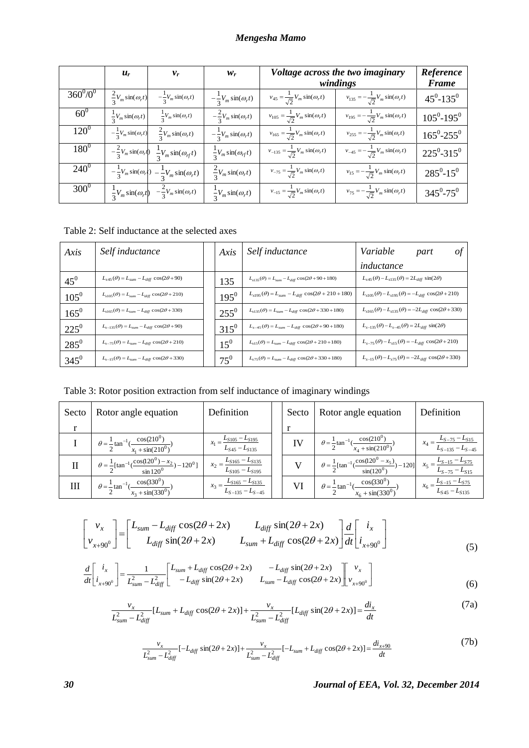# *Mengesha Mamo*

|             | $u_r$                              | $v_r$                                                              | $W_r$                              | Voltage across the two imaginary<br>windings         |                                                      | Reference<br><b>Frame</b>       |
|-------------|------------------------------------|--------------------------------------------------------------------|------------------------------------|------------------------------------------------------|------------------------------------------------------|---------------------------------|
| $360^0/0^0$ | $\frac{2}{3}V_m \sin(\omega_r t)$  | $-\frac{1}{3}V_m \sin(\omega_r t)$                                 | $-\frac{1}{3}V_m \sin(\omega_r t)$ | $v_{45} = \frac{1}{\sqrt{2}} V_m \sin(\omega_r t)$   | $v_{135} = -\frac{1}{\sqrt{2}} V_m \sin(\omega_r t)$ | $45^0 - 135^0$                  |
| $60^0$      | $rac{1}{3}V_m \sin(\omega_r t)$    | $rac{1}{3}V_m \sin(\omega_r t)$                                    | $-\frac{2}{3}V_m \sin(\omega_r t)$ | $v_{105} = \frac{1}{\sqrt{2}} V_m \sin(\omega_r t)$  | $v_{195} = -\frac{1}{\sqrt{2}} V_m \sin(\omega_r t)$ | $105^0 - 195^0$                 |
| $120^0$     | $-\frac{1}{3}V_m \sin(\omega_r t)$ | $rac{2}{3}V_m \sin(\omega_r t)$                                    | $-\frac{1}{3}V_m \sin(\omega_r t)$ | $v_{165} = \frac{1}{\sqrt{2}} V_m \sin(\omega_r t)$  | $v_{255} = -\frac{1}{\sqrt{2}} V_m \sin(\omega_r t)$ | $165^0 - 255^0$                 |
| $180^0$     | $-\frac{2}{3}V_m \sin(\omega_r t)$ | $\frac{1}{3}V_m \sin(\omega_{rf}t)$                                | $rac{1}{3}V_m \sin(\omega_{rf}t)$  | $v_{-135} = \frac{1}{\sqrt{2}} V_m \sin(\omega_r t)$ | $v_{-45} = -\frac{1}{\sqrt{2}} V_m \sin(\omega_r t)$ | $225^0 - 315^0$                 |
| $240^0$     |                                    | $-\frac{1}{3}V_m \sin(\omega_r) - \frac{1}{3}V_m \sin(\omega_r t)$ | $\frac{2}{3}V_m \sin(\omega_r t)$  | $v_{-75} = \frac{1}{\sqrt{2}} V_m \sin(\omega_r t)$  | $v_{15} = -\frac{1}{\sqrt{2}} V_m \sin(\omega_r t)$  | $285^0\textrm{-}15^0$           |
| $300^0$     | $\frac{1}{3}V_m \sin(\omega_r t)$  | $-\frac{2}{3}V_m \sin(\omega_r t)$                                 | $\frac{1}{3}V_m \sin(\omega_r t)$  | $v_{-15} = \frac{1}{\sqrt{2}} V_m \sin(\omega_r t)$  | $v_{75} = -\frac{1}{\sqrt{2}} V_m \sin(\omega_r t)$  | $345^{\rm 0}\hbox{-}75^{\rm 0}$ |

Table 2: Self inductance at the selected axes

| Axis      | Self inductance                                             | Axis      | Self inductance                                                   | Variable<br>part<br>οt                                                 |
|-----------|-------------------------------------------------------------|-----------|-------------------------------------------------------------------|------------------------------------------------------------------------|
|           |                                                             |           |                                                                   | inductance                                                             |
| $45^0$    | $L_{s45}(\theta) = L_{sum} - L_{diff} \cos(2\theta + 90)$   | 135       | $L_{s135}(\theta) = L_{sum} - L_{diff} \cos(2\theta + 90 + 180)$  | $L_{s45}(\theta) - L_{s135}(\theta) = 2L_{diff} \sin(2\theta)$         |
| $105^{0}$ | $L_{s105}(\theta) = L_{sum} - L_{diff} \cos(2\theta + 210)$ | $195^{0}$ | $L_{s195}(\theta) = L_{sum} - L_{diff} \cos(2\theta + 210 + 180)$ | $L_{s105}(\theta) - L_{s195}(\theta) = -L_{diff} \cos(2\theta + 210)$  |
| $165^0$   | $L_{s165}(\theta) = L_{sum} - L_{diff} \cos(2\theta + 330)$ | $255^0$   | $L_{s135}(\theta) = L_{sum} - L_{diff} \cos(2\theta + 330 + 180)$ | $L_{s165}(\theta) - L_{s135}(\theta) = -2L_{diff} \cos(2\theta + 330)$ |
| $225^{0}$ | $L_{s-135}(\theta) = L_{sum} - L_{diff} \cos(2\theta + 90)$ | $315^{0}$ | $L_{s-45}(\theta) = L_{sum} - L_{diff} \cos(2\theta + 90 + 180)$  | $L_{s-135}(\theta) - L_{s-45}(\theta) = 2L_{diff} \sin(2\theta)$       |
| $285^0$   | $L_{s-75}(\theta)=L_{sum}-L_{diff}\cos(2\theta+210)$        | $15^0$    | $L_{s15}(\theta)=L_{sum}-L_{diff}\cos(2\theta+210+180)$           | $L_{s-75}(\theta) - L_{s15}(\theta) = -L_{diff} \cos(2\theta + 210)$   |
| $345^0$   | $L_{s-15}(\theta) = L_{sum} - L_{diff} \cos(2\theta + 330)$ | $75^0$    | $L_{s75}(\theta) = L_{sum} - L_{diff} \cos(2\theta + 330 + 180)$  | $L_{s-15}(\theta) - L_{s75}(\theta) = -2L_{diff} \cos(2\theta + 330)$  |

Table 3: Rotor position extraction from self inductance of imaginary windings

| Secto | Rotor angle equation                                                                          | Definition                                               | Secto | Rotor angle equation                                                                                                                      | Definition                                              |
|-------|-----------------------------------------------------------------------------------------------|----------------------------------------------------------|-------|-------------------------------------------------------------------------------------------------------------------------------------------|---------------------------------------------------------|
|       |                                                                                               |                                                          |       |                                                                                                                                           |                                                         |
|       | $\theta = \frac{1}{2} \tan^{-1}(\frac{\cos(210^0)}{x_1 + \sin(210^0)})$                       | $x_1 = \frac{L_{S105} - L_{S195}}{L_{S45} - L_{S135}}$   | IV    | $\theta = \frac{1}{2} \tan^{-1} \left( \frac{\cos(210^0)}{x_4 + \sin(210^0)} \right)$                                                     | $x_4 = \frac{L_{S-75} - L_{S15}}{L_{S-135} - L_{S-45}}$ |
| Н     | $\theta = \frac{1}{2} [\tan^{-1}(\frac{\cos(120^\circ) - x_2}{\sin 120^\circ}) - 120^\circ]$  | $x_2 = \frac{L_{S165} - L_{S135}}{L_{S105} - L_{S195}}$  |       | $\theta = \frac{1}{2} [\tan^{-1}(\frac{\cos(120^0 - x_5)}{\sin(120^0)}) - 120] \quad x_5 = \frac{L_{S-15} - L_{S75}}{L_{S-75} - L_{S15}}$ |                                                         |
| Ш     | $\theta = \frac{1}{2} \tan^{-1} \left( \frac{\cos(330^\circ)}{x_3 + \sin(330^\circ)} \right)$ | $x_3 = \frac{L_{S165} - L_{S135}}{L_{S-135} - L_{S-45}}$ | VI    | $\theta = \frac{1}{2} \tan^{-1} \left( \frac{\cos(330^\circ)}{x_6 + \sin(330^\circ)} \right)$                                             | $x_6 = \frac{L_{S-15} - L_{S75}}{L_{S45} - L_{S135}}$   |

$$
\begin{bmatrix} v_x \\ v_{x+90^0} \end{bmatrix} = \begin{bmatrix} L_{sum} - L_{diff} \cos(2\theta + 2x) & L_{diff} \sin(2\theta + 2x) \\ L_{diff} \sin(2\theta + 2x) & L_{sum} + L_{diff} \cos(2\theta + 2x) \end{bmatrix} \frac{d}{dt} \begin{bmatrix} i_x \\ i_{x+90^0} \end{bmatrix}
$$
(5)

$$
\frac{d}{dt} \begin{bmatrix} i_x \\ i_{x+90^0} \end{bmatrix} = \frac{1}{L_{sum}^2 - L_{diff}^2} \begin{bmatrix} L_{sum} + L_{diff} \cos(2\theta + 2x) & -L_{diff} \sin(2\theta + 2x) \\ -L_{diff} \sin(2\theta + 2x) & L_{sum} - L_{diff} \cos(2\theta + 2x) \end{bmatrix} \begin{bmatrix} v_x \\ v_{x+90^0} \end{bmatrix}
$$
(6)

$$
\frac{v_x}{L_{sum}^2 - L_{diff}^2} [L_{sum} + L_{diff} \cos(2\theta + 2x)] + \frac{v_x}{L_{sum}^2 - L_{diff}^2} [L_{diff} \sin(2\theta + 2x)] = \frac{di_x}{dt}
$$
(7a)

$$
\frac{v_x}{L_{sum}^2 - L_{diff}^2} [-L_{diff} \sin(2\theta + 2x)] + \frac{v_x}{L_{sum}^2 - L_{diff}^2} [-L_{sum} + L_{diff} \cos(2\theta + 2x)] = \frac{di_{x+90}}{dt}
$$
(7b)

# *30 Journal of EEA, Vol. 32, December 2014*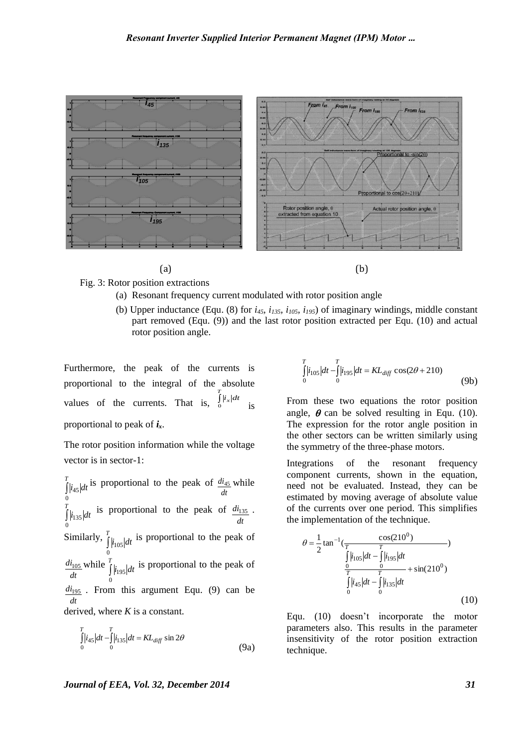

 $(a)$  (b)



Fig. 3: Rotor position extractions

- (a) Resonant frequency current modulated with rotor position angle
- (b) Upper inductance (Equ. (8) for *i45, i135, i105, i195*) of imaginary windings, middle constant part removed (Equ. (9)) and the last rotor position extracted per Equ. (10) and actual rotor position angle.

Furthermore, the peak of the currents is proportional to the integral of the absolute values of the currents. That is,  $\int_{0}^{T} |i_{x}| dt$ is proportional to peak of *ix*.

The rotor position information while the voltage vector is in sector-1:

 $\int_{t_4 s}^{t_4} |t_4| \, ds$  proportional to the peak of  $\frac{di_{45}}{dt}$  while is proportional to the peak of  $di_{135}$ . Similarly,  $\int_{i_{105}} d t$  is proportional to the peak of while  $\int_{1}^{T}$  is proportional to the peak of  $di<sub>195</sub>$ . From this argument Equ. (9) can be derived, where *K* is a constant. *T*  $i_{45}$  *dt* <sup>15</sup> proportional to the peak of  $\frac{m_{45}}{dt}$ 0 *di*<sup>45</sup> J *T*  $i_{135}$  *dt* is proportional to the peak of  $\frac{a_{13}}{dt}$ 0 *di*<sup>135</sup> *T*  $i_{105}$  dt 0  $\frac{di_{105}}{dt}$  while  $\int_{0}^{T}$  $i_{195}$  dt 0 195 *dt*

$$
\int_{0}^{T} |i_{45}| dt - \int_{0}^{T} |i_{135}| dt = KL_{diff} \sin 2\theta
$$
\n(9a)

$$
\int_{0}^{T} |i_{105}| dt - \int_{0}^{T} |i_{195}| dt = KL_{diff} \cos(2\theta + 210)
$$
\n(9b)

From these two equations the rotor position angle,  $\theta$  can be solved resulting in Equ. (10). The expression for the rotor angle position in the other sectors can be written similarly using the symmetry of the three-phase motors.

Integrations of the resonant frequency component currents, shown in the equation, need not be evaluated. Instead, they can be estimated by moving average of absolute value of the currents over one period. This simplifies the implementation of the technique.

$$
\theta = \frac{1}{2} \tan^{-1} \left( \frac{\cos(210^0)}{T} \right)
$$
  

$$
\frac{\int_{0}^{T} |i_{105}| dt - \int_{0}^{T} |i_{195}| dt}{\int_{0}^{T} |i_{45}| dt - \int_{0}^{T} |i_{135}| dt} + \sin(210^0)
$$
  
(10)

Equ. (10) doesn't incorporate the motor parameters also. This results in the parameter insensitivity of the rotor position extraction technique.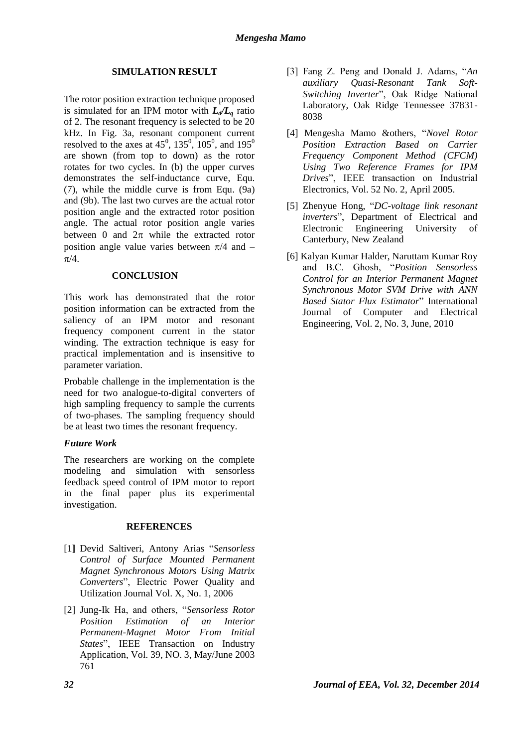#### **SIMULATION RESULT**

The rotor position extraction technique proposed is simulated for an IPM motor with  $L_d/L_a$  ratio of 2. The resonant frequency is selected to be 20 kHz. In Fig. 3a, resonant component current resolved to the axes at  $45^{\circ}$ ,  $135^{\circ}$ ,  $105^{\circ}$ , and  $195^{\circ}$ are shown (from top to down) as the rotor rotates for two cycles. In (b) the upper curves demonstrates the self-inductance curve, Equ. (7), while the middle curve is from Equ. (9a) and (9b). The last two curves are the actual rotor position angle and the extracted rotor position angle. The actual rotor position angle varies between 0 and  $2\pi$  while the extracted rotor position angle value varies between  $\pi/4$  and –  $\pi/4$ .

#### **CONCLUSION**

This work has demonstrated that the rotor position information can be extracted from the saliency of an IPM motor and resonant frequency component current in the stator winding. The extraction technique is easy for practical implementation and is insensitive to parameter variation.

Probable challenge in the implementation is the need for two analogue-to-digital converters of high sampling frequency to sample the currents of two-phases. The sampling frequency should be at least two times the resonant frequency.

#### *Future Work*

The researchers are working on the complete modeling and simulation with sensorless feedback speed control of IPM motor to report in the final paper plus its experimental investigation.

#### **REFERENCES**

- [1**]** Devid Saltiveri, Antony Arias "*Sensorless Control of Surface Mounted Permanent Magnet Synchronous Motors Using Matrix Converters*", Electric Power Quality and Utilization Journal Vol. X, No. 1, 2006
- [2] Jung-Ik Ha, and others, "*Sensorless Rotor Position Estimation of an Interior Permanent-Magnet Motor From Initial States*", IEEE Transaction on Industry Application, Vol. 39, NO. 3, May/June 2003 761
- [3] Fang Z. Peng and Donald J. Adams, "*An auxiliary Quasi-Resonant Tank Soft-Switching Inverter*", Oak Ridge National Laboratory, Oak Ridge Tennessee 37831- 8038
- [4] Mengesha Mamo &others, "*Novel Rotor Position Extraction Based on Carrier Frequency Component Method (CFCM) Using Two Reference Frames for IPM Drives*", IEEE transaction on Industrial Electronics, Vol. 52 No. 2, April 2005.
- [5] Zhenyue Hong, "*DC-voltage link resonant inverters*", Department of Electrical and Electronic Engineering University of Canterbury, New Zealand
- [6] Kalyan Kumar Halder, Naruttam Kumar Roy and B.C. Ghosh, "*Position Sensorless Control for an Interior Permanent Magnet Synchronous Motor SVM Drive with ANN Based Stator Flux Estimator*" International Journal of Computer and Electrical Engineering, Vol. 2, No. 3, June, 2010